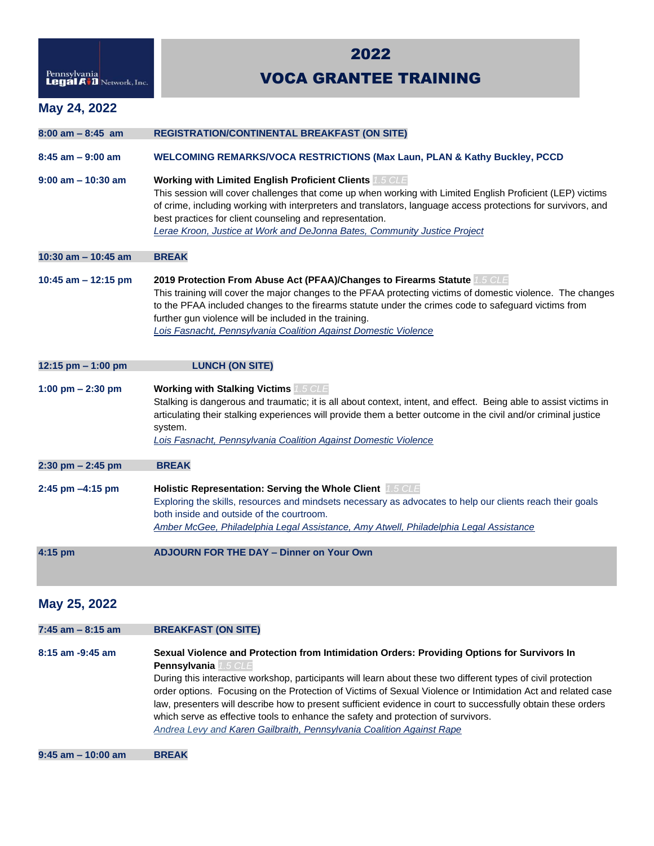| Pennsylvania<br>Legal A <sup>.</sup> D Network, Inc. |  |
|------------------------------------------------------|--|

## 2022

## VOCA GRANTEE TRAINING

## **May 24, 2022**

| $8:00$ am $-8:45$ am  | <b>REGISTRATION/CONTINENTAL BREAKFAST (ON SITE)</b>                                                                                                                                                                                                                                                                                                                                                                                    |
|-----------------------|----------------------------------------------------------------------------------------------------------------------------------------------------------------------------------------------------------------------------------------------------------------------------------------------------------------------------------------------------------------------------------------------------------------------------------------|
| $8:45$ am $-9:00$ am  | <b>WELCOMING REMARKS/VOCA RESTRICTIONS (Max Laun, PLAN &amp; Kathy Buckley, PCCD</b>                                                                                                                                                                                                                                                                                                                                                   |
| $9:00$ am $-10:30$ am | <b>Working with Limited English Proficient Clients 1.5 CLE</b><br>This session will cover challenges that come up when working with Limited English Proficient (LEP) victims<br>of crime, including working with interpreters and translators, language access protections for survivors, and<br>best practices for client counseling and representation.<br>Lerae Kroon, Justice at Work and DeJonna Bates, Community Justice Project |
| 10:30 am - 10:45 am   | <b>BREAK</b>                                                                                                                                                                                                                                                                                                                                                                                                                           |
| 10:45 am $-$ 12:15 pm | 2019 Protection From Abuse Act (PFAA)/Changes to Firearms Statute 1.5 CLE<br>This training will cover the major changes to the PFAA protecting victims of domestic violence. The changes<br>to the PFAA included changes to the firearms statute under the crimes code to safeguard victims from<br>further gun violence will be included in the training.<br>Lois Fasnacht, Pennsylvania Coalition Against Domestic Violence          |
| 12:15 pm - 1:00 pm    | <b>LUNCH (ON SITE)</b>                                                                                                                                                                                                                                                                                                                                                                                                                 |
| 1:00 pm $- 2:30$ pm   | <b>Working with Stalking Victims 1.5 CLE</b><br>Stalking is dangerous and traumatic; it is all about context, intent, and effect. Being able to assist victims in<br>articulating their stalking experiences will provide them a better outcome in the civil and/or criminal justice<br>system.<br>Lois Fasnacht, Pennsylvania Coalition Against Domestic Violence                                                                     |
| $2:30$ pm $- 2:45$ pm | <b>BREAK</b>                                                                                                                                                                                                                                                                                                                                                                                                                           |
| $2:45$ pm $-4:15$ pm  | Holistic Representation: Serving the Whole Client 1.5 CLE<br>Exploring the skills, resources and mindsets necessary as advocates to help our clients reach their goals<br>both inside and outside of the courtroom.<br>Amber McGee, Philadelphia Legal Assistance, Amy Atwell, Philadelphia Legal Assistance                                                                                                                           |
| 4:15 pm               | <b>ADJOURN FOR THE DAY - Dinner on Your Own</b>                                                                                                                                                                                                                                                                                                                                                                                        |

## **May 25, 2022**

| 7:45 am – 8:15 am     | <b>BREAKFAST (ON SITE)</b>                                                                                                                                                                                                                                                                                                                                                                                                                                                                                                                                                                                                                 |
|-----------------------|--------------------------------------------------------------------------------------------------------------------------------------------------------------------------------------------------------------------------------------------------------------------------------------------------------------------------------------------------------------------------------------------------------------------------------------------------------------------------------------------------------------------------------------------------------------------------------------------------------------------------------------------|
| $8:15$ am $-9:45$ am  | Sexual Violence and Protection from Intimidation Orders: Providing Options for Survivors In<br><b>Pennsylvania</b> 1.5 CLE<br>During this interactive workshop, participants will learn about these two different types of civil protection<br>order options. Focusing on the Protection of Victims of Sexual Violence or Intimidation Act and related case<br>law, presenters will describe how to present sufficient evidence in court to successfully obtain these orders<br>which serve as effective tools to enhance the safety and protection of survivors.<br>Andrea Levy and Karen Gailbraith, Pennsylvania Coalition Against Rape |
| $9:45$ am $-10:00$ am | <b>BREAK</b>                                                                                                                                                                                                                                                                                                                                                                                                                                                                                                                                                                                                                               |